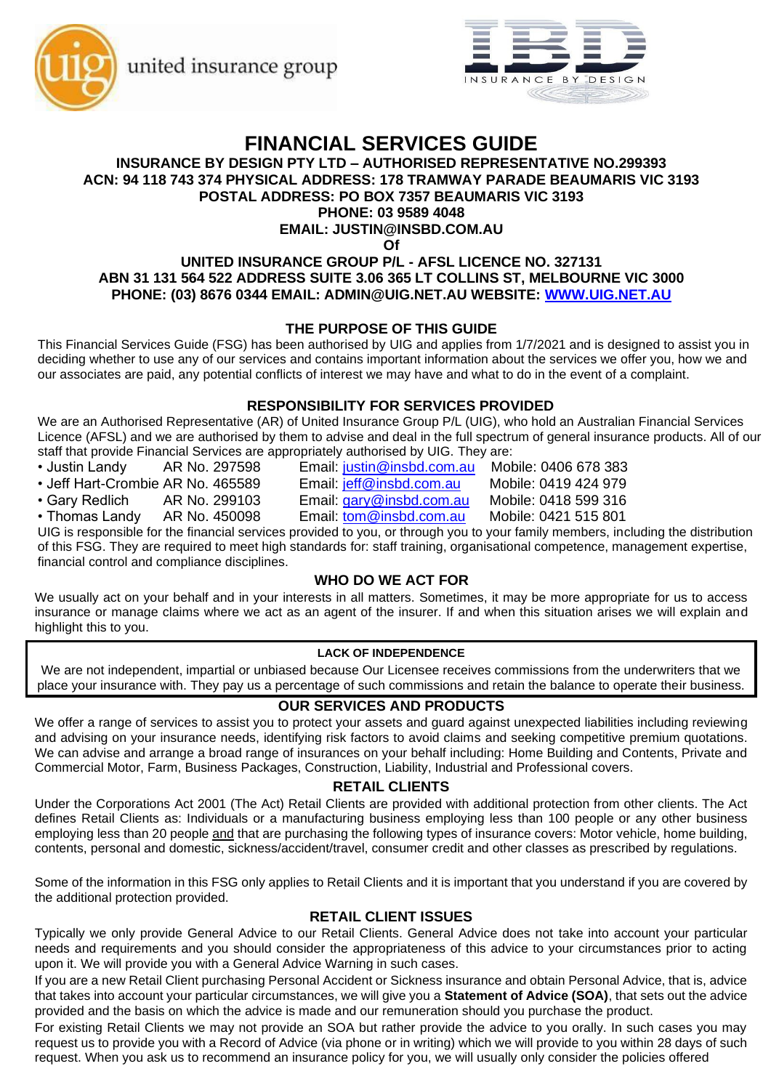united insurance group





# **FINANCIAL SERVICES GUIDE**

#### **INSURANCE BY DESIGN PTY LTD – AUTHORISED REPRESENTATIVE NO.299393 ACN: 94 118 743 374 PHYSICAL ADDRESS: 178 TRAMWAY PARADE BEAUMARIS VIC 3193 POSTAL ADDRESS: PO BOX 7357 BEAUMARIS VIC 3193**

## **PHONE: 03 9589 4048**

# **EMAIL: JUSTIN@INSBD.COM.AU**

**Of**

## **UNITED INSURANCE GROUP P/L - AFSL LICENCE NO. 327131 ABN 31 131 564 522 ADDRESS SUITE 3.06 365 LT COLLINS ST, MELBOURNE VIC 3000 PHONE: (03) 8676 0344 EMAIL: ADMIN@UIG.NET.AU WEBSITE: [WWW.UIG.NET.AU](http://www.uig.net.au/)**

## **THE PURPOSE OF THIS GUIDE**

This Financial Services Guide (FSG) has been authorised by UIG and applies from 1/7/2021 and is designed to assist you in deciding whether to use any of our services and contains important information about the services we offer you, how we and our associates are paid, any potential conflicts of interest we may have and what to do in the event of a complaint.

## **RESPONSIBILITY FOR SERVICES PROVIDED**

We are an Authorised Representative (AR) of United Insurance Group P/L (UIG), who hold an Australian Financial Services Licence (AFSL) and we are authorised by them to advise and deal in the full spectrum of general insurance products. All of our staff that provide Financial Services are appropriately authorised by UIG. They are:

- Justin Landy AR No. 297598 Email: [justin@insbd.com.au](mailto:justin@insbd.com.au) Mobile: 0406 678 383
- Jeff Hart-Crombie AR No. 465589 Email: [jeff@insbd.com.au](mailto:jeff@insbd.com.au) Mobile: 0419 424 979
- Gary Redlich AR No. 299103 Email: [gary@insbd.com.au](mailto:gary@insbd.com.au) Mobile: 0418 599 316
- 

- 
- 

• Thomas Landy AR No. 450098 Email: [tom@insbd.com.au](mailto:tom@insbd.com.au) Mobile: 0421 515 801 UIG is responsible for the financial services provided to you, or through you to your family members, including the distribution of this FSG. They are required to meet high standards for: staff training, organisational competence, management expertise, financial control and compliance disciplines.

# **WHO DO WE ACT FOR**

We usually act on your behalf and in your interests in all matters. Sometimes, it may be more appropriate for us to access insurance or manage claims where we act as an agent of the insurer. If and when this situation arises we will explain and highlight this to you.

## **LACK OF INDEPENDENCE**

We are not independent, impartial or unbiased because Our Licensee receives commissions from the underwriters that we place your insurance with. They pay us a percentage of such commissions and retain the balance to operate their business.

# **OUR SERVICES AND PRODUCTS**

We offer a range of services to assist you to protect your assets and guard against unexpected liabilities including reviewing and advising on your insurance needs, identifying risk factors to avoid claims and seeking competitive premium quotations. We can advise and arrange a broad range of insurances on your behalf including: Home Building and Contents, Private and Commercial Motor, Farm, Business Packages, Construction, Liability, Industrial and Professional covers.

## **RETAIL CLIENTS**

Under the Corporations Act 2001 (The Act) Retail Clients are provided with additional protection from other clients. The Act defines Retail Clients as: Individuals or a manufacturing business employing less than 100 people or any other business employing less than 20 people and that are purchasing the following types of insurance covers: Motor vehicle, home building, contents, personal and domestic, sickness/accident/travel, consumer credit and other classes as prescribed by regulations.

Some of the information in this FSG only applies to Retail Clients and it is important that you understand if you are covered by the additional protection provided.

## **RETAIL CLIENT ISSUES**

Typically we only provide General Advice to our Retail Clients. General Advice does not take into account your particular needs and requirements and you should consider the appropriateness of this advice to your circumstances prior to acting upon it. We will provide you with a General Advice Warning in such cases.

If you are a new Retail Client purchasing Personal Accident or Sickness insurance and obtain Personal Advice, that is, advice that takes into account your particular circumstances, we will give you a **Statement of Advice (SOA)**, that sets out the advice provided and the basis on which the advice is made and our remuneration should you purchase the product.

For existing Retail Clients we may not provide an SOA but rather provide the advice to you orally. In such cases you may request us to provide you with a Record of Advice (via phone or in writing) which we will provide to you within 28 days of such request. When you ask us to recommend an insurance policy for you, we will usually only consider the policies offered